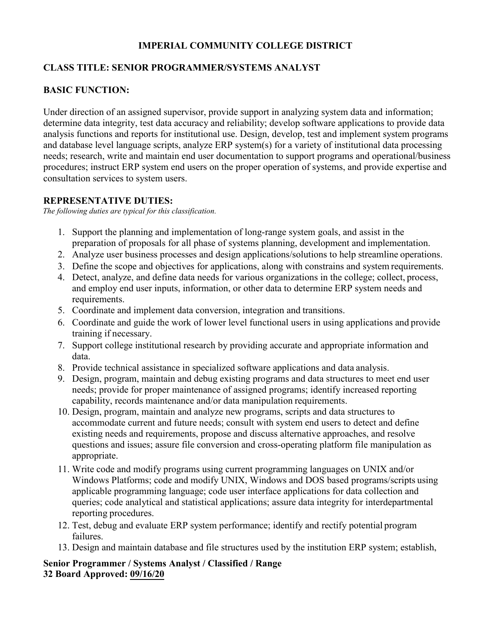#### **IMPERIAL COMMUNITY COLLEGE DISTRICT**

#### **CLASS TITLE: SENIOR PROGRAMMER/SYSTEMS ANALYST**

# **BASIC FUNCTION:**

Under direction of an assigned supervisor, provide support in analyzing system data and information; determine data integrity, test data accuracy and reliability; develop software applications to provide data analysis functions and reports for institutional use. Design, develop, test and implement system programs and database level language scripts, analyze ERP system(s) for a variety of institutional data processing needs; research, write and maintain end user documentation to support programs and operational/business procedures; instruct ERP system end users on the proper operation of systems, and provide expertise and consultation services to system users.

#### **REPRESENTATIVE DUTIES:**

*The following duties are typical for this classification.*

- 1. Support the planning and implementation of long-range system goals, and assist in the preparation of proposals for all phase of systems planning, development and implementation.
- 2. Analyze user business processes and design applications/solutions to help streamline operations.
- 3. Define the scope and objectives for applications, along with constrains and system requirements.
- 4. Detect, analyze, and define data needs for various organizations in the college; collect, process, and employ end user inputs, information, or other data to determine ERP system needs and requirements.
- 5. Coordinate and implement data conversion, integration and transitions.
- 6. Coordinate and guide the work of lower level functional users in using applications and provide training if necessary.
- 7. Support college institutional research by providing accurate and appropriate information and data.
- 8. Provide technical assistance in specialized software applications and data analysis.
- 9. Design, program, maintain and debug existing programs and data structures to meet end user needs; provide for proper maintenance of assigned programs; identify increased reporting capability, records maintenance and/or data manipulation requirements.
- 10. Design, program, maintain and analyze new programs, scripts and data structures to accommodate current and future needs; consult with system end users to detect and define existing needs and requirements, propose and discuss alternative approaches, and resolve questions and issues; assure file conversion and cross-operating platform file manipulation as appropriate.
- 11. Write code and modify programs using current programming languages on UNIX and/or Windows Platforms; code and modify UNIX, Windows and DOS based programs/scripts using applicable programming language; code user interface applications for data collection and queries; code analytical and statistical applications; assure data integrity for interdepartmental reporting procedures.
- 12. Test, debug and evaluate ERP system performance; identify and rectify potential program failures.
- 13. Design and maintain database and file structures used by the institution ERP system; establish,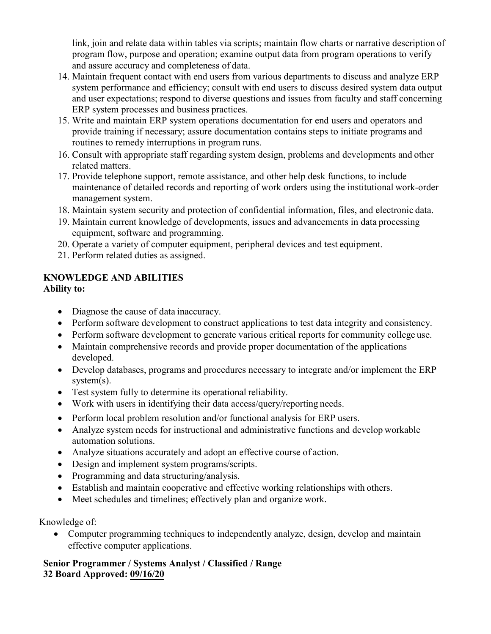link, join and relate data within tables via scripts; maintain flow charts or narrative description of program flow, purpose and operation; examine output data from program operations to verify and assure accuracy and completeness of data.

- 14. Maintain frequent contact with end users from various departments to discuss and analyze ERP system performance and efficiency; consult with end users to discuss desired system data output and user expectations; respond to diverse questions and issues from faculty and staff concerning ERP system processes and business practices.
- 15. Write and maintain ERP system operations documentation for end users and operators and provide training if necessary; assure documentation contains steps to initiate programs and routines to remedy interruptions in program runs.
- 16. Consult with appropriate staff regarding system design, problems and developments and other related matters.
- 17. Provide telephone support, remote assistance, and other help desk functions, to include maintenance of detailed records and reporting of work orders using the institutional work-order management system.
- 18. Maintain system security and protection of confidential information, files, and electronic data.
- 19. Maintain current knowledge of developments, issues and advancements in data processing equipment, software and programming.
- 20. Operate a variety of computer equipment, peripheral devices and test equipment.
- 21. Perform related duties as assigned.

# **KNOWLEDGE AND ABILITIES**

# **Ability to:**

- Diagnose the cause of data inaccuracy.
- Perform software development to construct applications to test data integrity and consistency.
- Perform software development to generate various critical reports for community college use.
- Maintain comprehensive records and provide proper documentation of the applications developed.
- Develop databases, programs and procedures necessary to integrate and/or implement the ERP system(s).
- Test system fully to determine its operational reliability.
- Work with users in identifying their data access/query/reporting needs.
- Perform local problem resolution and/or functional analysis for ERP users.
- Analyze system needs for instructional and administrative functions and develop workable automation solutions.
- Analyze situations accurately and adopt an effective course of action.
- Design and implement system programs/scripts.
- Programming and data structuring/analysis.
- Establish and maintain cooperative and effective working relationships with others.
- Meet schedules and timelines; effectively plan and organize work.

Knowledge of:

• Computer programming techniques to independently analyze, design, develop and maintain effective computer applications.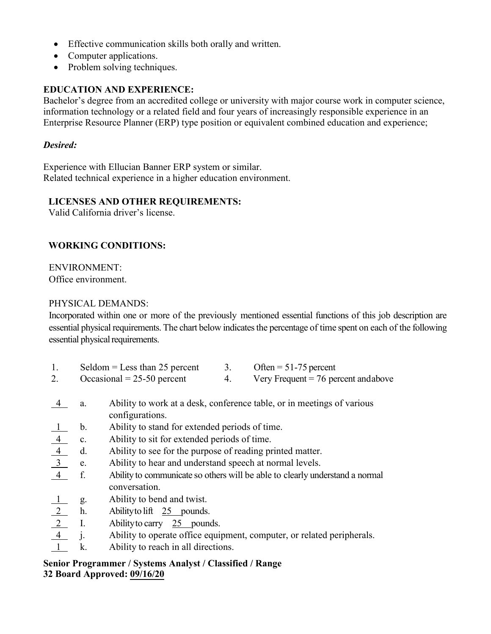- Effective communication skills both orally and written.
- Computer applications.
- Problem solving techniques.

# **EDUCATION AND EXPERIENCE:**

Bachelor's degree from an accredited college or university with major course work in computer science, information technology or a related field and four years of increasingly responsible experience in an Enterprise Resource Planner (ERP) type position or equivalent combined education and experience;

#### *Desired:*

Experience with Ellucian Banner ERP system or similar. Related technical experience in a higher education environment.

# **LICENSES AND OTHER REQUIREMENTS:**

Valid California driver's license.

# **WORKING CONDITIONS:**

ENVIRONMENT: Office environment.

#### PHYSICAL DEMANDS:

Incorporated within one or more of the previously mentioned essential functions of this job description are essential physical requirements. The chart below indicates the percentage of time spent on each of the following essential physical requirements.

| 1.                                                       | Seldom = Less than $25$ percent |                                                                              | 3. | Often = $51-75$ percent                                                |
|----------------------------------------------------------|---------------------------------|------------------------------------------------------------------------------|----|------------------------------------------------------------------------|
| 2.                                                       |                                 | Occasional = $25-50$ percent                                                 | 4. | Very Frequent $= 76$ percent and above                                 |
| $\overline{4}$                                           | a.                              | configurations.                                                              |    | Ability to work at a desk, conference table, or in meetings of various |
|                                                          | $\mathbf{b}$ .                  | Ability to stand for extended periods of time.                               |    |                                                                        |
|                                                          |                                 | Ability to sit for extended periods of time.                                 |    |                                                                        |
| $\frac{4}{\frac{4}{3}}$ c.<br>$\frac{4}{3}$ e.           |                                 | Ability to see for the purpose of reading printed matter.                    |    |                                                                        |
|                                                          |                                 | Ability to hear and understand speech at normal levels.                      |    |                                                                        |
| 4 f.                                                     |                                 | Ability to communicate so others will be able to clearly understand a normal |    |                                                                        |
|                                                          |                                 | conversation.                                                                |    |                                                                        |
|                                                          |                                 | Ability to bend and twist.                                                   |    |                                                                        |
|                                                          |                                 | Ability to lift $25$ pounds.                                                 |    |                                                                        |
| $\frac{1}{2}$ g.<br>$\frac{2}{1}$ h.<br>$\frac{2}{1}$ j. |                                 | Ability to carry $25$ pounds.                                                |    |                                                                        |
|                                                          |                                 |                                                                              |    | Ability to operate office equipment, computer, or related peripherals. |
| $\overline{1}$                                           | k.                              | Ability to reach in all directions.                                          |    |                                                                        |